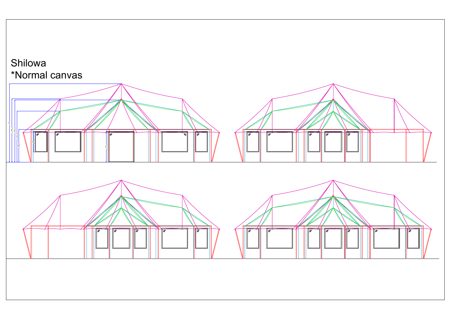





## Shilowa \*Normal canvas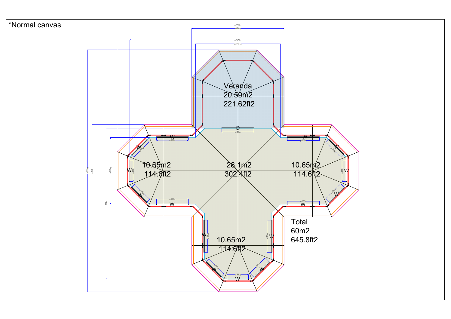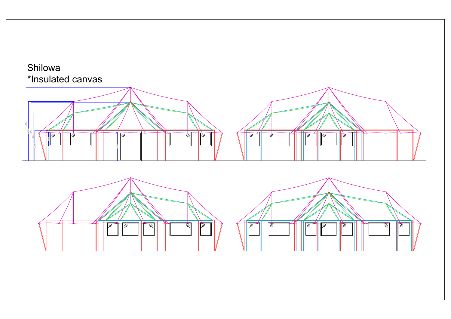![](_page_2_Figure_1.jpeg)

![](_page_2_Figure_2.jpeg)

![](_page_2_Figure_3.jpeg)

## Shilowa \*Insulated canvas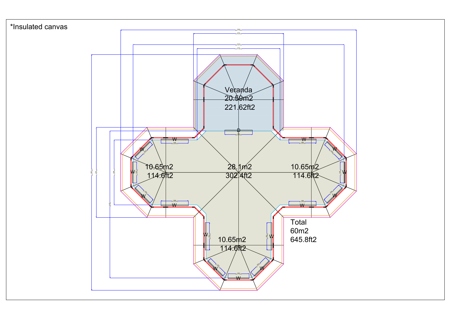![](_page_3_Figure_0.jpeg)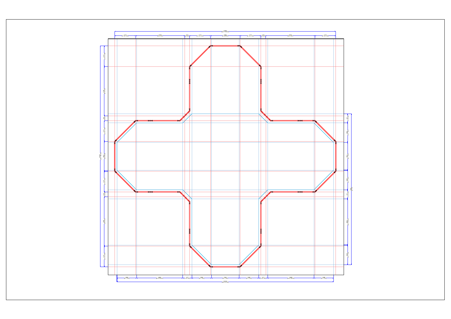![](_page_4_Figure_0.jpeg)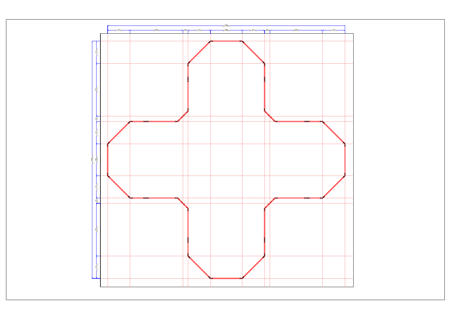![](_page_5_Figure_0.jpeg)